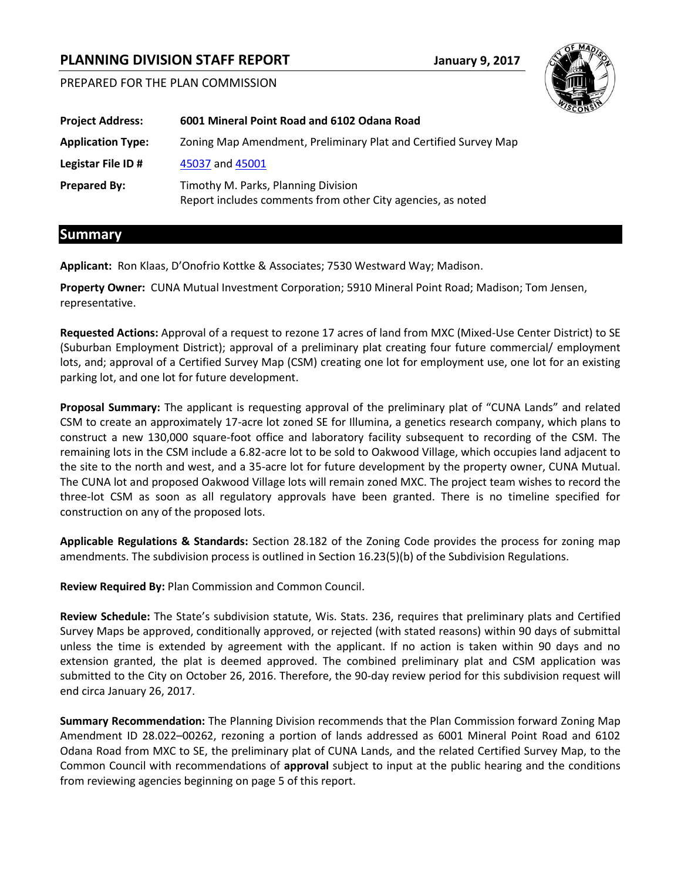# **PLANNING DIVISION STAFF REPORT January 9, 2017**

PREPARED FOR THE PLAN COMMISSION



## **Summary**

**Applicant:** Ron Klaas, D'Onofrio Kottke & Associates; 7530 Westward Way; Madison.

**Property Owner:** CUNA Mutual Investment Corporation; 5910 Mineral Point Road; Madison; Tom Jensen, representative.

**Requested Actions:** Approval of a request to rezone 17 acres of land from MXC (Mixed-Use Center District) to SE (Suburban Employment District); approval of a preliminary plat creating four future commercial/ employment lots, and; approval of a Certified Survey Map (CSM) creating one lot for employment use, one lot for an existing parking lot, and one lot for future development.

**Proposal Summary:** The applicant is requesting approval of the preliminary plat of "CUNA Lands" and related CSM to create an approximately 17-acre lot zoned SE for Illumina, a genetics research company, which plans to construct a new 130,000 square-foot office and laboratory facility subsequent to recording of the CSM. The remaining lots in the CSM include a 6.82-acre lot to be sold to Oakwood Village, which occupies land adjacent to the site to the north and west, and a 35-acre lot for future development by the property owner, CUNA Mutual. The CUNA lot and proposed Oakwood Village lots will remain zoned MXC. The project team wishes to record the three-lot CSM as soon as all regulatory approvals have been granted. There is no timeline specified for construction on any of the proposed lots.

**Applicable Regulations & Standards:** Section 28.182 of the Zoning Code provides the process for zoning map amendments. The subdivision process is outlined in Section 16.23(5)(b) of the Subdivision Regulations.

**Review Required By:** Plan Commission and Common Council.

**Review Schedule:** The State's subdivision statute, Wis. Stats. 236, requires that preliminary plats and Certified Survey Maps be approved, conditionally approved, or rejected (with stated reasons) within 90 days of submittal unless the time is extended by agreement with the applicant. If no action is taken within 90 days and no extension granted, the plat is deemed approved. The combined preliminary plat and CSM application was submitted to the City on October 26, 2016. Therefore, the 90-day review period for this subdivision request will end circa January 26, 2017.

**Summary Recommendation:** The Planning Division recommends that the Plan Commission forward Zoning Map Amendment ID 28.022–00262, rezoning a portion of lands addressed as 6001 Mineral Point Road and 6102 Odana Road from MXC to SE, the preliminary plat of CUNA Lands, and the related Certified Survey Map, to the Common Council with recommendations of **approval** subject to input at the public hearing and the conditions from reviewing agencies beginning on page 5 of this report.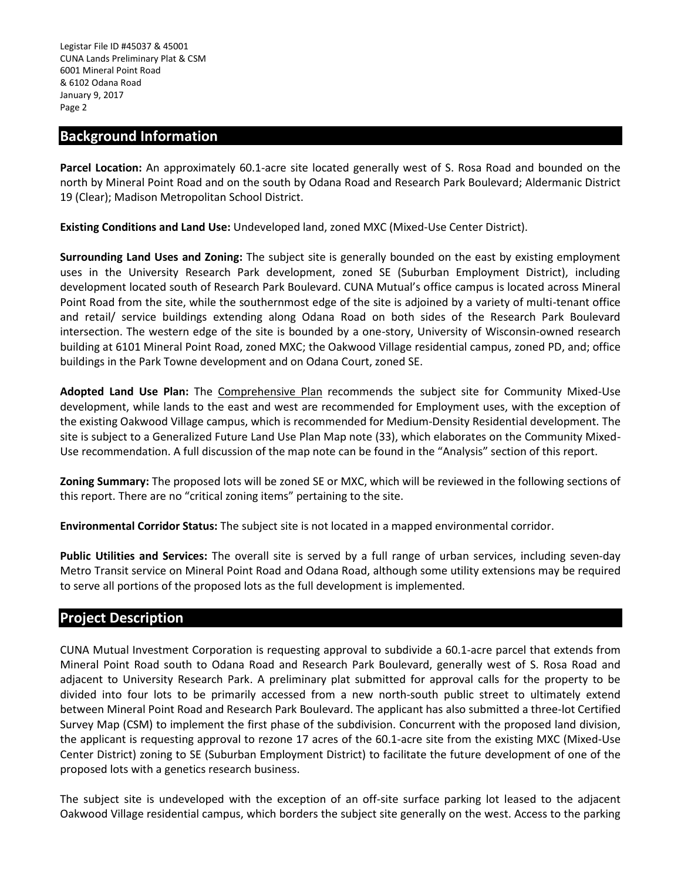## **Background Information**

**Parcel Location:** An approximately 60.1-acre site located generally west of S. Rosa Road and bounded on the north by Mineral Point Road and on the south by Odana Road and Research Park Boulevard; Aldermanic District 19 (Clear); Madison Metropolitan School District.

**Existing Conditions and Land Use:** Undeveloped land, zoned MXC (Mixed-Use Center District).

**Surrounding Land Uses and Zoning:** The subject site is generally bounded on the east by existing employment uses in the University Research Park development, zoned SE (Suburban Employment District), including development located south of Research Park Boulevard. CUNA Mutual's office campus is located across Mineral Point Road from the site, while the southernmost edge of the site is adjoined by a variety of multi-tenant office and retail/ service buildings extending along Odana Road on both sides of the Research Park Boulevard intersection. The western edge of the site is bounded by a one-story, University of Wisconsin-owned research building at 6101 Mineral Point Road, zoned MXC; the Oakwood Village residential campus, zoned PD, and; office buildings in the Park Towne development and on Odana Court, zoned SE.

**Adopted Land Use Plan:** The Comprehensive Plan recommends the subject site for Community Mixed-Use development, while lands to the east and west are recommended for Employment uses, with the exception of the existing Oakwood Village campus, which is recommended for Medium-Density Residential development. The site is subject to a Generalized Future Land Use Plan Map note (33), which elaborates on the Community Mixed-Use recommendation. A full discussion of the map note can be found in the "Analysis" section of this report.

**Zoning Summary:** The proposed lots will be zoned SE or MXC, which will be reviewed in the following sections of this report. There are no "critical zoning items" pertaining to the site.

**Environmental Corridor Status:** The subject site is not located in a mapped environmental corridor.

**Public Utilities and Services:** The overall site is served by a full range of urban services, including seven-day Metro Transit service on Mineral Point Road and Odana Road, although some utility extensions may be required to serve all portions of the proposed lots as the full development is implemented.

## **Project Description**

CUNA Mutual Investment Corporation is requesting approval to subdivide a 60.1-acre parcel that extends from Mineral Point Road south to Odana Road and Research Park Boulevard, generally west of S. Rosa Road and adjacent to University Research Park. A preliminary plat submitted for approval calls for the property to be divided into four lots to be primarily accessed from a new north-south public street to ultimately extend between Mineral Point Road and Research Park Boulevard. The applicant has also submitted a three-lot Certified Survey Map (CSM) to implement the first phase of the subdivision. Concurrent with the proposed land division, the applicant is requesting approval to rezone 17 acres of the 60.1-acre site from the existing MXC (Mixed-Use Center District) zoning to SE (Suburban Employment District) to facilitate the future development of one of the proposed lots with a genetics research business.

The subject site is undeveloped with the exception of an off-site surface parking lot leased to the adjacent Oakwood Village residential campus, which borders the subject site generally on the west. Access to the parking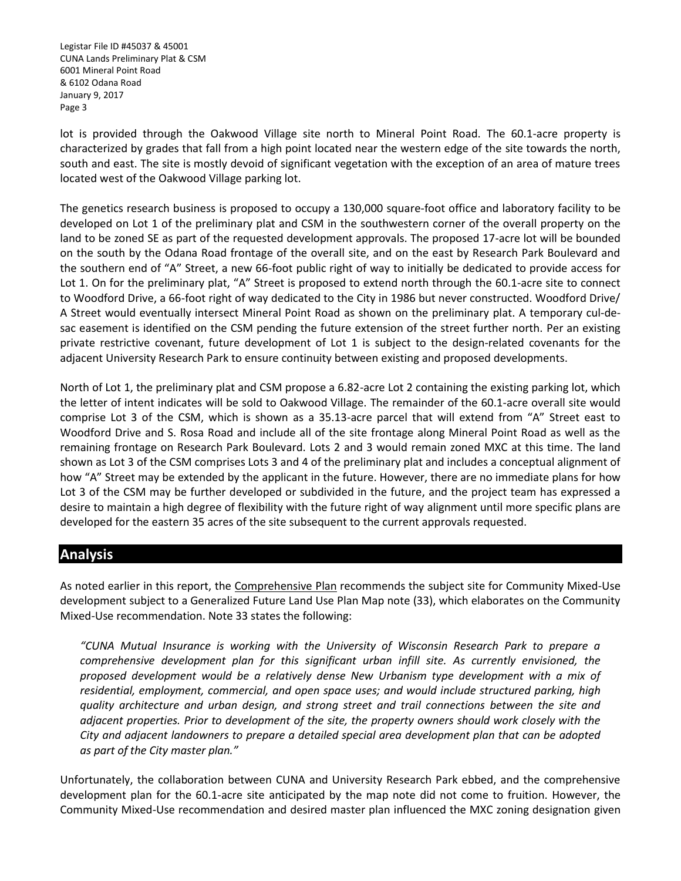lot is provided through the Oakwood Village site north to Mineral Point Road. The 60.1-acre property is characterized by grades that fall from a high point located near the western edge of the site towards the north, south and east. The site is mostly devoid of significant vegetation with the exception of an area of mature trees located west of the Oakwood Village parking lot.

The genetics research business is proposed to occupy a 130,000 square-foot office and laboratory facility to be developed on Lot 1 of the preliminary plat and CSM in the southwestern corner of the overall property on the land to be zoned SE as part of the requested development approvals. The proposed 17-acre lot will be bounded on the south by the Odana Road frontage of the overall site, and on the east by Research Park Boulevard and the southern end of "A" Street, a new 66-foot public right of way to initially be dedicated to provide access for Lot 1. On for the preliminary plat, "A" Street is proposed to extend north through the 60.1-acre site to connect to Woodford Drive, a 66-foot right of way dedicated to the City in 1986 but never constructed. Woodford Drive/ A Street would eventually intersect Mineral Point Road as shown on the preliminary plat. A temporary cul-desac easement is identified on the CSM pending the future extension of the street further north. Per an existing private restrictive covenant, future development of Lot 1 is subject to the design-related covenants for the adjacent University Research Park to ensure continuity between existing and proposed developments.

North of Lot 1, the preliminary plat and CSM propose a 6.82-acre Lot 2 containing the existing parking lot, which the letter of intent indicates will be sold to Oakwood Village. The remainder of the 60.1-acre overall site would comprise Lot 3 of the CSM, which is shown as a 35.13-acre parcel that will extend from "A" Street east to Woodford Drive and S. Rosa Road and include all of the site frontage along Mineral Point Road as well as the remaining frontage on Research Park Boulevard. Lots 2 and 3 would remain zoned MXC at this time. The land shown as Lot 3 of the CSM comprises Lots 3 and 4 of the preliminary plat and includes a conceptual alignment of how "A" Street may be extended by the applicant in the future. However, there are no immediate plans for how Lot 3 of the CSM may be further developed or subdivided in the future, and the project team has expressed a desire to maintain a high degree of flexibility with the future right of way alignment until more specific plans are developed for the eastern 35 acres of the site subsequent to the current approvals requested.

## **Analysis**

As noted earlier in this report, the Comprehensive Plan recommends the subject site for Community Mixed-Use development subject to a Generalized Future Land Use Plan Map note (33), which elaborates on the Community Mixed-Use recommendation. Note 33 states the following:

*"CUNA Mutual Insurance is working with the University of Wisconsin Research Park to prepare a comprehensive development plan for this significant urban infill site. As currently envisioned, the proposed development would be a relatively dense New Urbanism type development with a mix of residential, employment, commercial, and open space uses; and would include structured parking, high quality architecture and urban design, and strong street and trail connections between the site and adjacent properties. Prior to development of the site, the property owners should work closely with the City and adjacent landowners to prepare a detailed special area development plan that can be adopted as part of the City master plan."*

Unfortunately, the collaboration between CUNA and University Research Park ebbed, and the comprehensive development plan for the 60.1-acre site anticipated by the map note did not come to fruition. However, the Community Mixed-Use recommendation and desired master plan influenced the MXC zoning designation given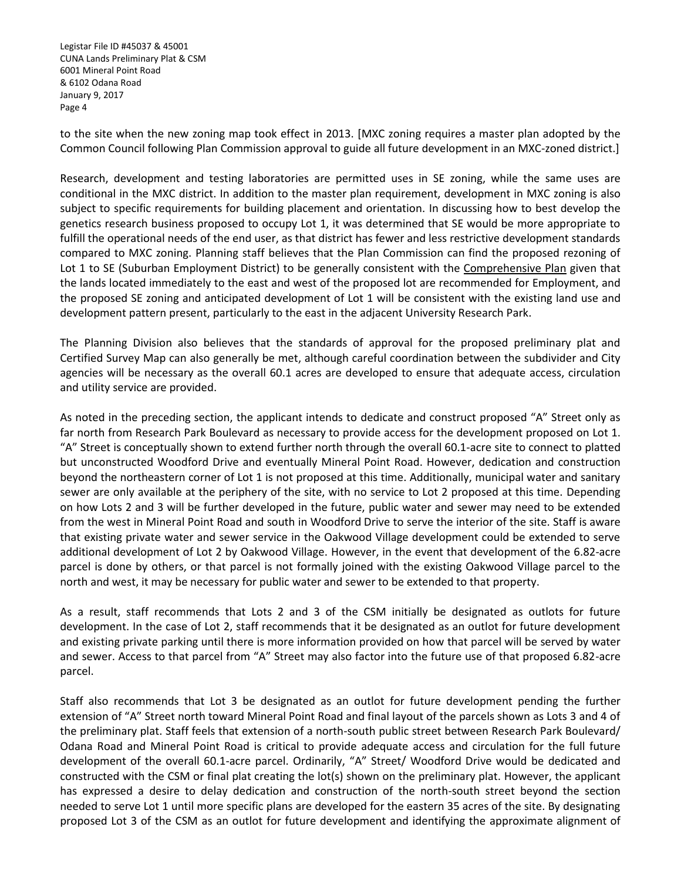to the site when the new zoning map took effect in 2013. [MXC zoning requires a master plan adopted by the Common Council following Plan Commission approval to guide all future development in an MXC-zoned district.]

Research, development and testing laboratories are permitted uses in SE zoning, while the same uses are conditional in the MXC district. In addition to the master plan requirement, development in MXC zoning is also subject to specific requirements for building placement and orientation. In discussing how to best develop the genetics research business proposed to occupy Lot 1, it was determined that SE would be more appropriate to fulfill the operational needs of the end user, as that district has fewer and less restrictive development standards compared to MXC zoning. Planning staff believes that the Plan Commission can find the proposed rezoning of Lot 1 to SE (Suburban Employment District) to be generally consistent with the Comprehensive Plan given that the lands located immediately to the east and west of the proposed lot are recommended for Employment, and the proposed SE zoning and anticipated development of Lot 1 will be consistent with the existing land use and development pattern present, particularly to the east in the adjacent University Research Park.

The Planning Division also believes that the standards of approval for the proposed preliminary plat and Certified Survey Map can also generally be met, although careful coordination between the subdivider and City agencies will be necessary as the overall 60.1 acres are developed to ensure that adequate access, circulation and utility service are provided.

As noted in the preceding section, the applicant intends to dedicate and construct proposed "A" Street only as far north from Research Park Boulevard as necessary to provide access for the development proposed on Lot 1. "A" Street is conceptually shown to extend further north through the overall 60.1-acre site to connect to platted but unconstructed Woodford Drive and eventually Mineral Point Road. However, dedication and construction beyond the northeastern corner of Lot 1 is not proposed at this time. Additionally, municipal water and sanitary sewer are only available at the periphery of the site, with no service to Lot 2 proposed at this time. Depending on how Lots 2 and 3 will be further developed in the future, public water and sewer may need to be extended from the west in Mineral Point Road and south in Woodford Drive to serve the interior of the site. Staff is aware that existing private water and sewer service in the Oakwood Village development could be extended to serve additional development of Lot 2 by Oakwood Village. However, in the event that development of the 6.82-acre parcel is done by others, or that parcel is not formally joined with the existing Oakwood Village parcel to the north and west, it may be necessary for public water and sewer to be extended to that property.

As a result, staff recommends that Lots 2 and 3 of the CSM initially be designated as outlots for future development. In the case of Lot 2, staff recommends that it be designated as an outlot for future development and existing private parking until there is more information provided on how that parcel will be served by water and sewer. Access to that parcel from "A" Street may also factor into the future use of that proposed 6.82-acre parcel.

Staff also recommends that Lot 3 be designated as an outlot for future development pending the further extension of "A" Street north toward Mineral Point Road and final layout of the parcels shown as Lots 3 and 4 of the preliminary plat. Staff feels that extension of a north-south public street between Research Park Boulevard/ Odana Road and Mineral Point Road is critical to provide adequate access and circulation for the full future development of the overall 60.1-acre parcel. Ordinarily, "A" Street/ Woodford Drive would be dedicated and constructed with the CSM or final plat creating the lot(s) shown on the preliminary plat. However, the applicant has expressed a desire to delay dedication and construction of the north-south street beyond the section needed to serve Lot 1 until more specific plans are developed for the eastern 35 acres of the site. By designating proposed Lot 3 of the CSM as an outlot for future development and identifying the approximate alignment of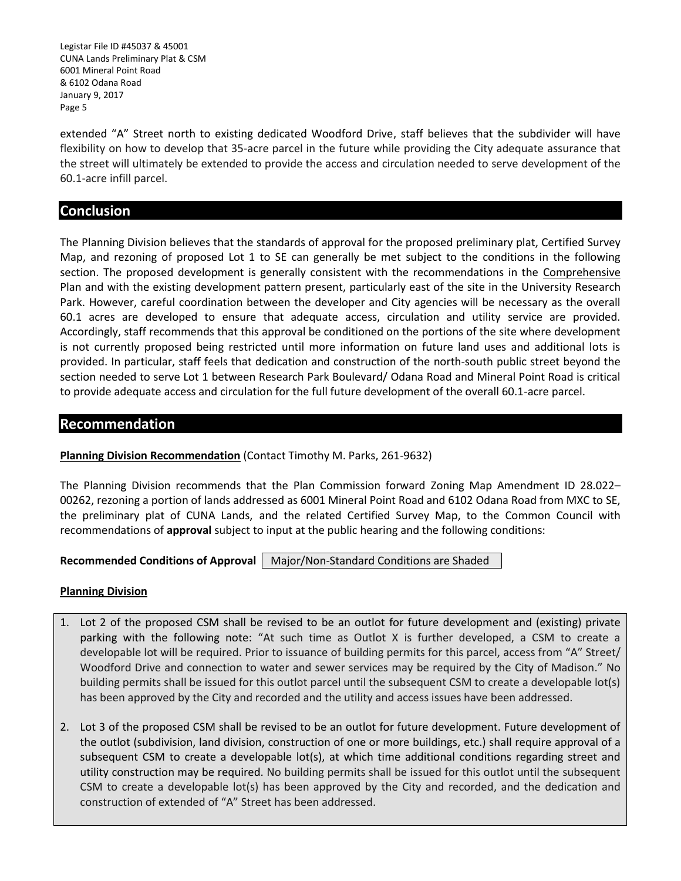Legistar File ID #45037 & 45001 CUNA Lands Preliminary Plat & CSM 6001 Mineral Point Road & 6102 Odana Road January 9, 2017 Page 5

extended "A" Street north to existing dedicated Woodford Drive, staff believes that the subdivider will have flexibility on how to develop that 35-acre parcel in the future while providing the City adequate assurance that the street will ultimately be extended to provide the access and circulation needed to serve development of the 60.1-acre infill parcel.

## **Conclusion**

The Planning Division believes that the standards of approval for the proposed preliminary plat, Certified Survey Map, and rezoning of proposed Lot 1 to SE can generally be met subject to the conditions in the following section. The proposed development is generally consistent with the recommendations in the Comprehensive Plan and with the existing development pattern present, particularly east of the site in the University Research Park. However, careful coordination between the developer and City agencies will be necessary as the overall 60.1 acres are developed to ensure that adequate access, circulation and utility service are provided. Accordingly, staff recommends that this approval be conditioned on the portions of the site where development is not currently proposed being restricted until more information on future land uses and additional lots is provided. In particular, staff feels that dedication and construction of the north-south public street beyond the section needed to serve Lot 1 between Research Park Boulevard/ Odana Road and Mineral Point Road is critical to provide adequate access and circulation for the full future development of the overall 60.1-acre parcel.

## **Recommendation**

#### **Planning Division Recommendation** (Contact Timothy M. Parks, 261-9632)

The Planning Division recommends that the Plan Commission forward Zoning Map Amendment ID 28.022– 00262, rezoning a portion of lands addressed as 6001 Mineral Point Road and 6102 Odana Road from MXC to SE, the preliminary plat of CUNA Lands, and the related Certified Survey Map, to the Common Council with recommendations of **approval** subject to input at the public hearing and the following conditions:

**Recommended Conditions of Approval | Major/Non-Standard Conditions are Shaded.** 

#### **Planning Division**

- 1. Lot 2 of the proposed CSM shall be revised to be an outlot for future development and (existing) private parking with the following note: "At such time as Outlot X is further developed, a CSM to create a developable lot will be required. Prior to issuance of building permits for this parcel, access from "A" Street/ Woodford Drive and connection to water and sewer services may be required by the City of Madison." No building permits shall be issued for this outlot parcel until the subsequent CSM to create a developable lot(s) has been approved by the City and recorded and the utility and access issues have been addressed.
- 2. Lot 3 of the proposed CSM shall be revised to be an outlot for future development. Future development of the outlot (subdivision, land division, construction of one or more buildings, etc.) shall require approval of a subsequent CSM to create a developable lot(s), at which time additional conditions regarding street and utility construction may be required. No building permits shall be issued for this outlot until the subsequent CSM to create a developable lot(s) has been approved by the City and recorded, and the dedication and construction of extended of "A" Street has been addressed.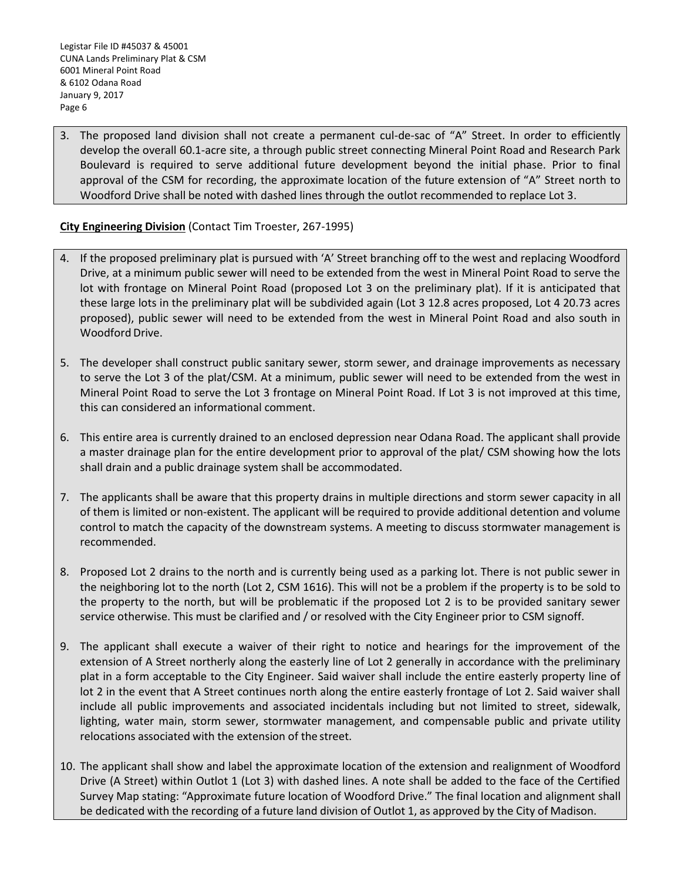3. The proposed land division shall not create a permanent cul-de-sac of "A" Street. In order to efficiently develop the overall 60.1-acre site, a through public street connecting Mineral Point Road and Research Park Boulevard is required to serve additional future development beyond the initial phase. Prior to final approval of the CSM for recording, the approximate location of the future extension of "A" Street north to Woodford Drive shall be noted with dashed lines through the outlot recommended to replace Lot 3.

## **City Engineering Division** (Contact Tim Troester, 267-1995)

- 4. If the proposed preliminary plat is pursued with 'A' Street branching off to the west and replacing Woodford Drive, at a minimum public sewer will need to be extended from the west in Mineral Point Road to serve the lot with frontage on Mineral Point Road (proposed Lot 3 on the preliminary plat). If it is anticipated that these large lots in the preliminary plat will be subdivided again (Lot 3 12.8 acres proposed, Lot 4 20.73 acres proposed), public sewer will need to be extended from the west in Mineral Point Road and also south in Woodford Drive.
- 5. The developer shall construct public sanitary sewer, storm sewer, and drainage improvements as necessary to serve the Lot 3 of the plat/CSM. At a minimum, public sewer will need to be extended from the west in Mineral Point Road to serve the Lot 3 frontage on Mineral Point Road. If Lot 3 is not improved at this time, this can considered an informational comment.
- 6. This entire area is currently drained to an enclosed depression near Odana Road. The applicant shall provide a master drainage plan for the entire development prior to approval of the plat/ CSM showing how the lots shall drain and a public drainage system shall be accommodated.
- 7. The applicants shall be aware that this property drains in multiple directions and storm sewer capacity in all of them is limited or non-existent. The applicant will be required to provide additional detention and volume control to match the capacity of the downstream systems. A meeting to discuss stormwater management is recommended.
- 8. Proposed Lot 2 drains to the north and is currently being used as a parking lot. There is not public sewer in the neighboring lot to the north (Lot 2, CSM 1616). This will not be a problem if the property is to be sold to the property to the north, but will be problematic if the proposed Lot 2 is to be provided sanitary sewer service otherwise. This must be clarified and / or resolved with the City Engineer prior to CSM signoff.
- 9. The applicant shall execute a waiver of their right to notice and hearings for the improvement of the extension of A Street northerly along the easterly line of Lot 2 generally in accordance with the preliminary plat in a form acceptable to the City Engineer. Said waiver shall include the entire easterly property line of lot 2 in the event that A Street continues north along the entire easterly frontage of Lot 2. Said waiver shall include all public improvements and associated incidentals including but not limited to street, sidewalk, lighting, water main, storm sewer, stormwater management, and compensable public and private utility relocations associated with the extension of the street.
- 10. The applicant shall show and label the approximate location of the extension and realignment of Woodford Drive (A Street) within Outlot 1 (Lot 3) with dashed lines. A note shall be added to the face of the Certified Survey Map stating: "Approximate future location of Woodford Drive." The final location and alignment shall be dedicated with the recording of a future land division of Outlot 1, as approved by the City of Madison.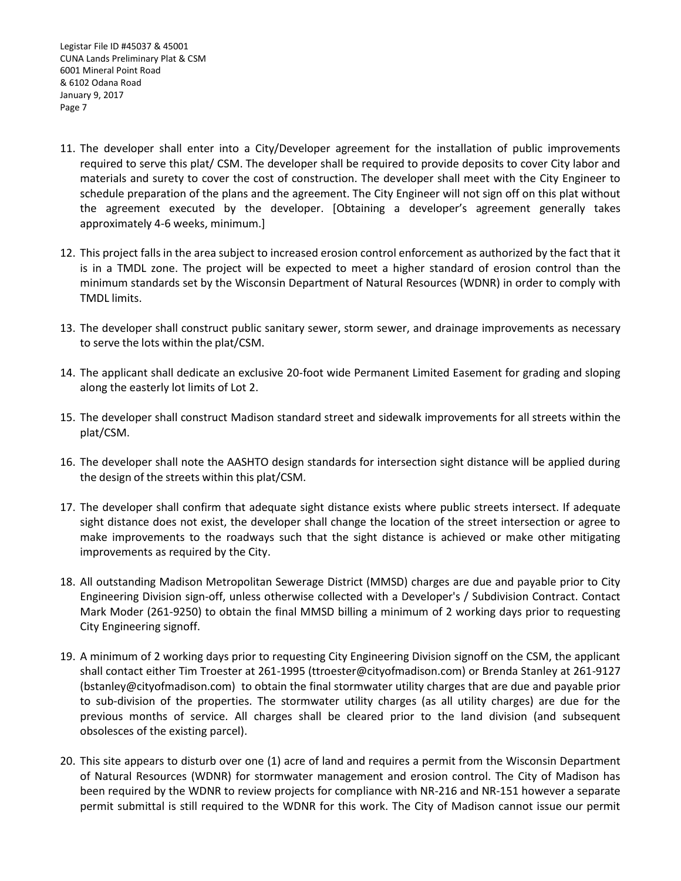- 11. The developer shall enter into a City/Developer agreement for the installation of public improvements required to serve this plat/ CSM. The developer shall be required to provide deposits to cover City labor and materials and surety to cover the cost of construction. The developer shall meet with the City Engineer to schedule preparation of the plans and the agreement. The City Engineer will not sign off on this plat without the agreement executed by the developer. [Obtaining a developer's agreement generally takes approximately 4-6 weeks, minimum.]
- 12. This project falls in the area subject to increased erosion control enforcement as authorized by the fact that it is in a TMDL zone. The project will be expected to meet a higher standard of erosion control than the minimum standards set by the Wisconsin Department of Natural Resources (WDNR) in order to comply with TMDL limits.
- 13. The developer shall construct public sanitary sewer, storm sewer, and drainage improvements as necessary to serve the lots within the plat/CSM.
- 14. The applicant shall dedicate an exclusive 20-foot wide Permanent Limited Easement for grading and sloping along the easterly lot limits of Lot 2.
- 15. The developer shall construct Madison standard street and sidewalk improvements for all streets within the plat/CSM.
- 16. The developer shall note the AASHTO design standards for intersection sight distance will be applied during the design of the streets within this plat/CSM.
- 17. The developer shall confirm that adequate sight distance exists where public streets intersect. If adequate sight distance does not exist, the developer shall change the location of the street intersection or agree to make improvements to the roadways such that the sight distance is achieved or make other mitigating improvements as required by the City.
- 18. All outstanding Madison Metropolitan Sewerage District (MMSD) charges are due and payable prior to City Engineering Division sign-off, unless otherwise collected with a Developer's / Subdivision Contract. Contact Mark Moder (261-9250) to obtain the final MMSD billing a minimum of 2 working days prior to requesting City Engineering signoff.
- 19. A minimum of 2 working days prior to requesting City Engineering Division signoff on the CSM, the applicant shall contact either Tim Troester at 261-1995 (ttroester@cityofmadison.com) or Brenda Stanley at 261-9127 (bstanley@cityofmadison.com) to obtain the final stormwater utility charges that are due and payable prior to sub-division of the properties. The stormwater utility charges (as all utility charges) are due for the previous months of service. All charges shall be cleared prior to the land division (and subsequent obsolesces of the existing parcel).
- 20. This site appears to disturb over one (1) acre of land and requires a permit from the Wisconsin Department of Natural Resources (WDNR) for stormwater management and erosion control. The City of Madison has been required by the WDNR to review projects for compliance with NR-216 and NR-151 however a separate permit submittal is still required to the WDNR for this work. The City of Madison cannot issue our permit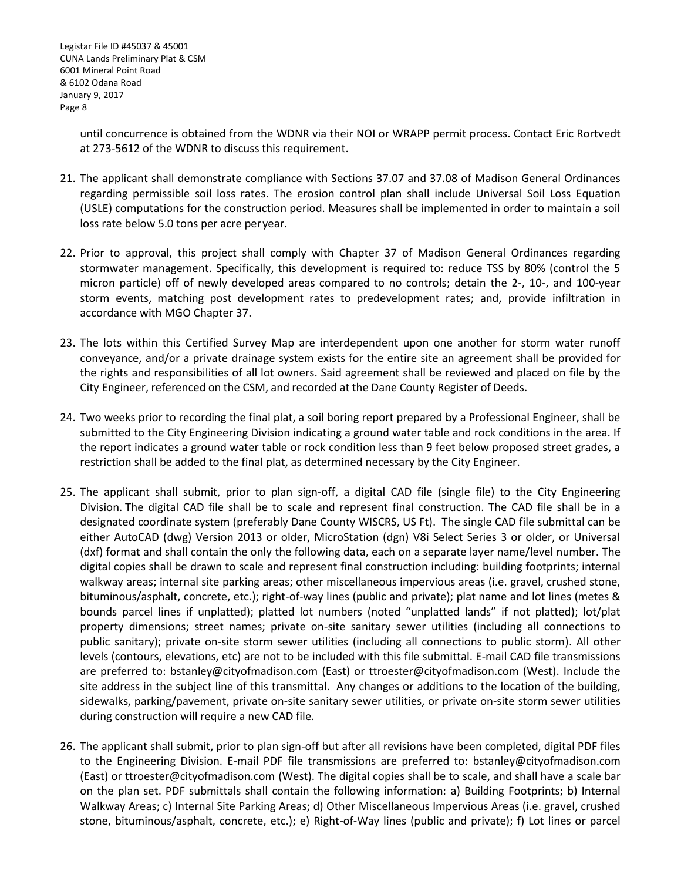until concurrence is obtained from the WDNR via their NOI or WRAPP permit process. Contact Eric Rortvedt at 273-5612 of the WDNR to discuss this requirement.

- 21. The applicant shall demonstrate compliance with Sections 37.07 and 37.08 of Madison General Ordinances regarding permissible soil loss rates. The erosion control plan shall include Universal Soil Loss Equation (USLE) computations for the construction period. Measures shall be implemented in order to maintain a soil loss rate below 5.0 tons per acre peryear.
- 22. Prior to approval, this project shall comply with Chapter 37 of Madison General Ordinances regarding stormwater management. Specifically, this development is required to: reduce TSS by 80% (control the 5 micron particle) off of newly developed areas compared to no controls; detain the 2-, 10-, and 100-year storm events, matching post development rates to predevelopment rates; and, provide infiltration in accordance with MGO Chapter 37.
- 23. The lots within this Certified Survey Map are interdependent upon one another for storm water runoff conveyance, and/or a private drainage system exists for the entire site an agreement shall be provided for the rights and responsibilities of all lot owners. Said agreement shall be reviewed and placed on file by the City Engineer, referenced on the CSM, and recorded at the Dane County Register of Deeds.
- 24. Two weeks prior to recording the final plat, a soil boring report prepared by a Professional Engineer, shall be submitted to the City Engineering Division indicating a ground water table and rock conditions in the area. If the report indicates a ground water table or rock condition less than 9 feet below proposed street grades, a restriction shall be added to the final plat, as determined necessary by the City Engineer.
- 25. The applicant shall submit, prior to plan sign-off, a digital CAD file (single file) to the City Engineering Division. The digital CAD file shall be to scale and represent final construction. The CAD file shall be in a designated coordinate system (preferably Dane County WISCRS, US Ft). The single CAD file submittal can be either AutoCAD (dwg) Version 2013 or older, MicroStation (dgn) V8i Select Series 3 or older, or Universal (dxf) format and shall contain the only the following data, each on a separate layer name/level number. The digital copies shall be drawn to scale and represent final construction including: building footprints; internal walkway areas; internal site parking areas; other miscellaneous impervious areas (i.e. gravel, crushed stone, bituminous/asphalt, concrete, etc.); right-of-way lines (public and private); plat name and lot lines (metes & bounds parcel lines if unplatted); platted lot numbers (noted "unplatted lands" if not platted); lot/plat property dimensions; street names; private on-site sanitary sewer utilities (including all connections to public sanitary); private on-site storm sewer utilities (including all connections to public storm). All other levels (contours, elevations, etc) are not to be included with this file submittal. E-mail CAD file transmissions are preferred to: [bstanley@cityofmadison.com](mailto:bstanley@cityofmadison.com) (East) or [ttroester@cityofmadison.com](mailto:ttroester@cityofmadison.com) (West). Include the site address in the subject line of this transmittal. Any changes or additions to the location of the building, sidewalks, parking/pavement, private on-site sanitary sewer utilities, or private on-site storm sewer utilities during construction will require a new CAD file.
- 26. The applicant shall submit, prior to plan sign-off but after all revisions have been completed, digital PDF files to the Engineering Division. E-mail PDF file transmissions are preferred to: [bstanley@cityofmadison.com](mailto:bstanley@cityofmadison.com) (East) or [ttroester@cityofmadison.com](mailto:ttroester@cityofmadison.com) (West). The digital copies shall be to scale, and shall have a scale bar on the plan set. PDF submittals shall contain the following information: a) Building Footprints; b) Internal Walkway Areas; c) Internal Site Parking Areas; d) Other Miscellaneous Impervious Areas (i.e. gravel, crushed stone, bituminous/asphalt, concrete, etc.); e) Right-of-Way lines (public and private); f) Lot lines or parcel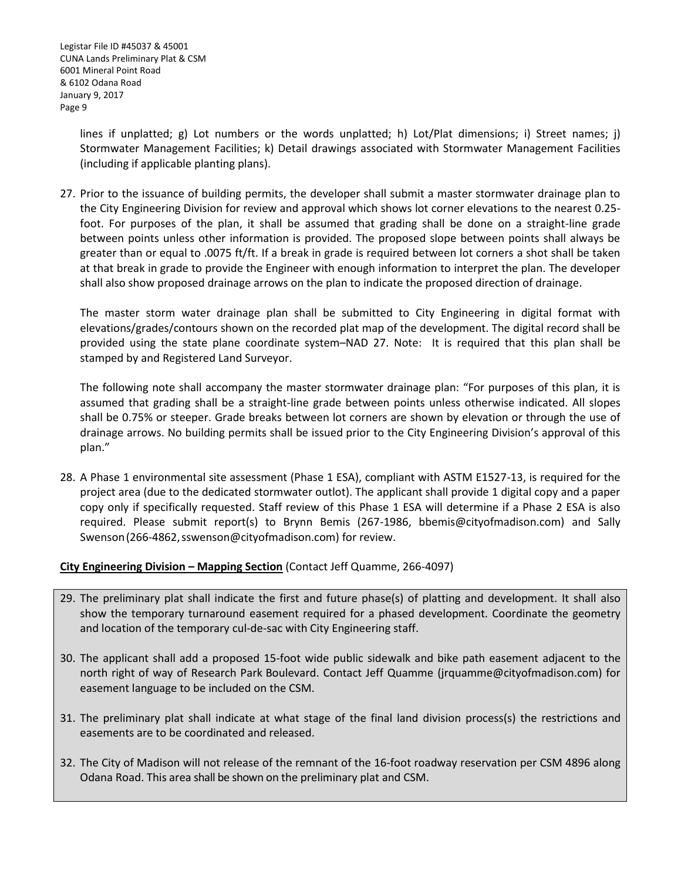lines if unplatted; g) Lot numbers or the words unplatted; h) Lot/Plat dimensions; i) Street names; j) Stormwater Management Facilities; k) Detail drawings associated with Stormwater Management Facilities (including if applicable planting plans).

27. Prior to the issuance of building permits, the developer shall submit a master stormwater drainage plan to the City Engineering Division for review and approval which shows lot corner elevations to the nearest 0.25 foot. For purposes of the plan, it shall be assumed that grading shall be done on a straight-line grade between points unless other information is provided. The proposed slope between points shall always be greater than or equal to .0075 ft/ft. If a break in grade is required between lot corners a shot shall be taken at that break in grade to provide the Engineer with enough information to interpret the plan. The developer shall also show proposed drainage arrows on the plan to indicate the proposed direction of drainage.

The master storm water drainage plan shall be submitted to City Engineering in digital format with elevations/grades/contours shown on the recorded plat map of the development. The digital record shall be provided using the state plane coordinate system–NAD 27. Note: It is required that this plan shall be stamped by and Registered Land Surveyor.

The following note shall accompany the master stormwater drainage plan: "For purposes of this plan, it is assumed that grading shall be a straight-line grade between points unless otherwise indicated. All slopes shall be 0.75% or steeper. Grade breaks between lot corners are shown by elevation or through the use of drainage arrows. No building permits shall be issued prior to the City Engineering Division's approval of this plan."

28. A Phase 1 environmental site assessment (Phase 1 ESA), compliant with ASTM E1527-13, is required for the project area (due to the dedicated stormwater outlot). The applicant shall provide 1 digital copy and a paper copy only if specifically requested. Staff review of this Phase 1 ESA will determine if a Phase 2 ESA is also required. Please submit report(s) to Brynn Bemis (267-1986, bbemis@cityofmadison.com) and Sally Swenson (266-4862, sswenson@cityofmadison.com) for review.

## **City Engineering Division - Mapping Section** (Contact Jeff Quamme, 266-4097)

- 29. The preliminary plat shall indicate the first and future phase(s) of platting and development. It shall also show the temporary turnaround easement required for a phased development. Coordinate the geometry and location of the temporary cul-de-sac with City Engineering staff.
- 30. The applicant shall add a proposed 15-foot wide public sidewalk and bike path easement adjacent to the north right of way of Research Park Boulevard. Contact Jeff Quamme (jrquamme@cityofmadison.com) for easement language to be included on the CSM.
- 31. The preliminary plat shall indicate at what stage of the final land division process(s) the restrictions and easements are to be coordinated and released.
- 32. The City of Madison will not release of the remnant of the 16-foot roadway reservation per CSM 4896 along Odana Road. This area shall be shown on the preliminary plat and CSM.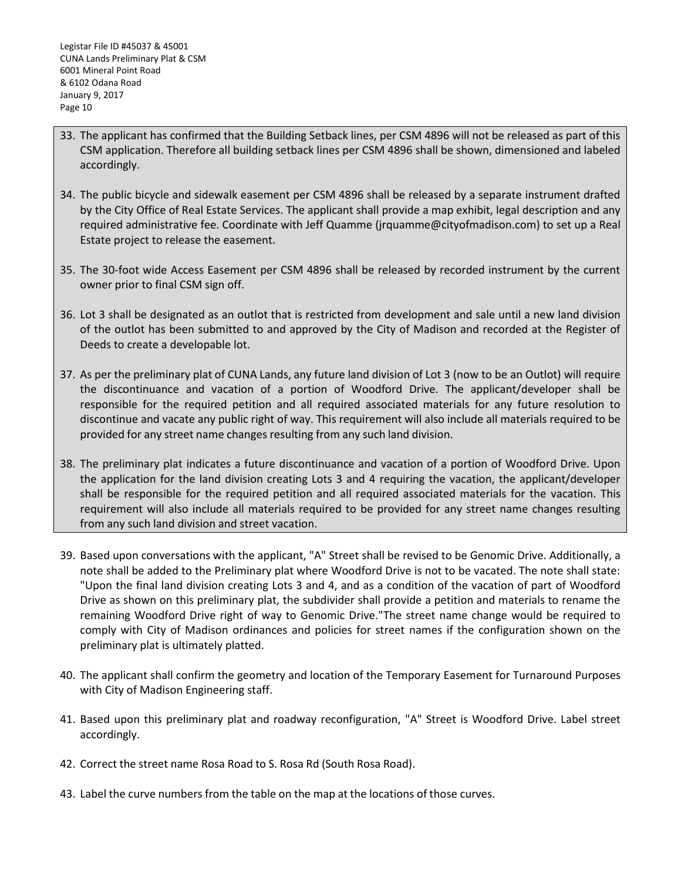- 33. The applicant has confirmed that the Building Setback lines, per CSM 4896 will not be released as part of this CSM application. Therefore all building setback lines per CSM 4896 shall be shown, dimensioned and labeled accordingly.
- 34. The public bicycle and sidewalk easement per CSM 4896 shall be released by a separate instrument drafted by the City Office of Real Estate Services. The applicant shall provide a map exhibit, legal description and any required administrative fee. Coordinate with Jeff Quamme (jrquamme@cityofmadison.com) to set up a Real Estate project to release the easement.
- 35. The 30-foot wide Access Easement per CSM 4896 shall be released by recorded instrument by the current owner prior to final CSM sign off.
- 36. Lot 3 shall be designated as an outlot that is restricted from development and sale until a new land division of the outlot has been submitted to and approved by the City of Madison and recorded at the Register of Deeds to create a developable lot.
- 37. As per the preliminary plat of CUNA Lands, any future land division of Lot 3 (now to be an Outlot) will require the discontinuance and vacation of a portion of Woodford Drive. The applicant/developer shall be responsible for the required petition and all required associated materials for any future resolution to discontinue and vacate any public right of way. This requirement will also include all materials required to be provided for any street name changes resulting from any such land division.
- 38. The preliminary plat indicates a future discontinuance and vacation of a portion of Woodford Drive. Upon the application for the land division creating Lots 3 and 4 requiring the vacation, the applicant/developer shall be responsible for the required petition and all required associated materials for the vacation. This requirement will also include all materials required to be provided for any street name changes resulting from any such land division and street vacation.
- 39. Based upon conversations with the applicant, "A" Street shall be revised to be Genomic Drive. Additionally, a note shall be added to the Preliminary plat where Woodford Drive is not to be vacated. The note shall state: "Upon the final land division creating Lots 3 and 4, and as a condition of the vacation of part of Woodford Drive as shown on this preliminary plat, the subdivider shall provide a petition and materials to rename the remaining Woodford Drive right of way to Genomic Drive."The street name change would be required to comply with City of Madison ordinances and policies for street names if the configuration shown on the preliminary plat is ultimately platted.
- 40. The applicant shall confirm the geometry and location of the Temporary Easement for Turnaround Purposes with City of Madison Engineering staff.
- 41. Based upon this preliminary plat and roadway reconfiguration, "A" Street is Woodford Drive. Label street accordingly.
- 42. Correct the street name Rosa Road to S. Rosa Rd (South Rosa Road).
- 43. Label the curve numbers from the table on the map at the locations of those curves.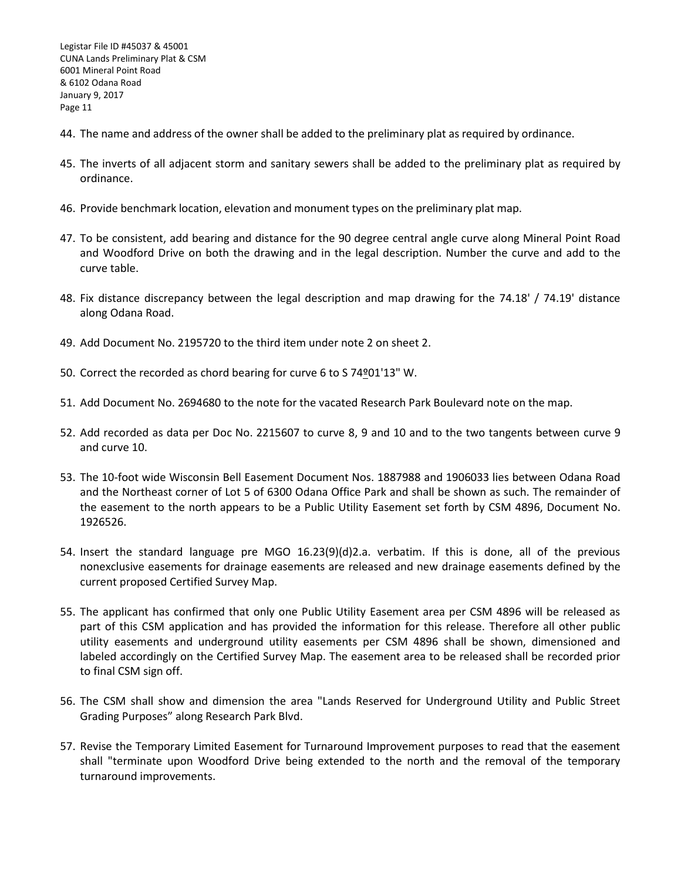- 44. The name and address of the owner shall be added to the preliminary plat as required by ordinance.
- 45. The inverts of all adjacent storm and sanitary sewers shall be added to the preliminary plat as required by ordinance.
- 46. Provide benchmark location, elevation and monument types on the preliminary plat map.
- 47. To be consistent, add bearing and distance for the 90 degree central angle curve along Mineral Point Road and Woodford Drive on both the drawing and in the legal description. Number the curve and add to the curve table.
- 48. Fix distance discrepancy between the legal description and map drawing for the 74.18' / 74.19' distance along Odana Road.
- 49. Add Document No. 2195720 to the third item under note 2 on sheet 2.
- 50. Correct the recorded as chord bearing for curve 6 to S 74º 01'13" W.
- 51. Add Document No. 2694680 to the note for the vacated Research Park Boulevard note on the map.
- 52. Add recorded as data per Doc No. 2215607 to curve 8, 9 and 10 and to the two tangents between curve 9 and curve 10.
- 53. The 10-foot wide Wisconsin Bell Easement Document Nos. 1887988 and 1906033 lies between Odana Road and the Northeast corner of Lot 5 of 6300 Odana Office Park and shall be shown as such. The remainder of the easement to the north appears to be a Public Utility Easement set forth by CSM 4896, Document No. 1926526.
- 54. Insert the standard language pre MGO 16.23(9)(d)2.a. verbatim. If this is done, all of the previous nonexclusive easements for drainage easements are released and new drainage easements defined by the current proposed Certified Survey Map.
- 55. The applicant has confirmed that only one Public Utility Easement area per CSM 4896 will be released as part of this CSM application and has provided the information for this release. Therefore all other public utility easements and underground utility easements per CSM 4896 shall be shown, dimensioned and labeled accordingly on the Certified Survey Map. The easement area to be released shall be recorded prior to final CSM sign off.
- 56. The CSM shall show and dimension the area "Lands Reserved for Underground Utility and Public Street Grading Purposes" along Research Park Blvd.
- 57. Revise the Temporary Limited Easement for Turnaround Improvement purposes to read that the easement shall "terminate upon Woodford Drive being extended to the north and the removal of the temporary turnaround improvements.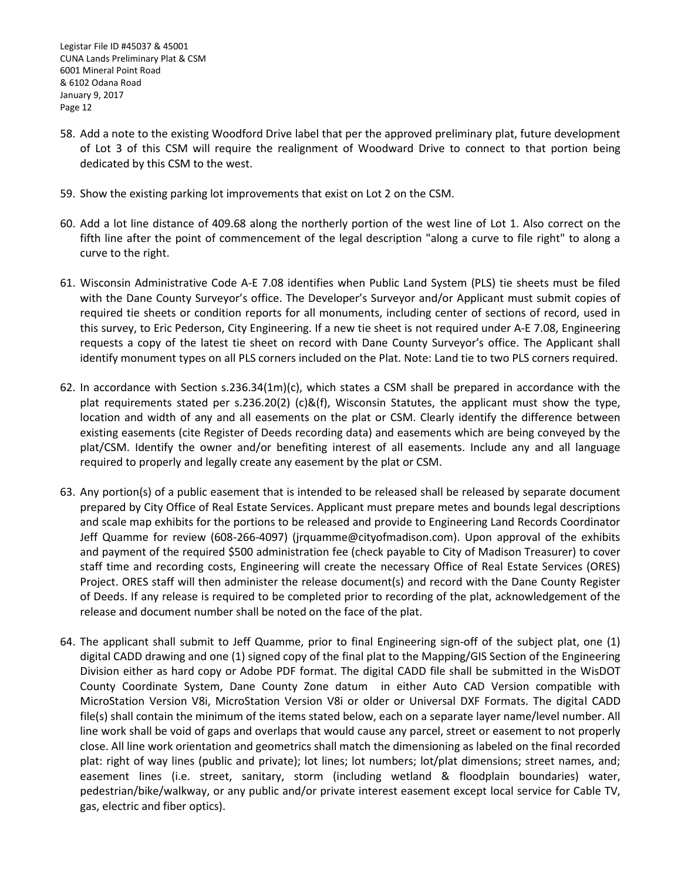- 58. Add a note to the existing Woodford Drive label that per the approved preliminary plat, future development of Lot 3 of this CSM will require the realignment of Woodward Drive to connect to that portion being dedicated by this CSM to the west.
- 59. Show the existing parking lot improvements that exist on Lot 2 on the CSM.
- 60. Add a lot line distance of 409.68 along the northerly portion of the west line of Lot 1. Also correct on the fifth line after the point of commencement of the legal description "along a curve to file right" to along a curve to the right.
- 61. Wisconsin Administrative Code A-E 7.08 identifies when Public Land System (PLS) tie sheets must be filed with the Dane County Surveyor's office. The Developer's Surveyor and/or Applicant must submit copies of required tie sheets or condition reports for all monuments, including center of sections of record, used in this survey, to Eric Pederson, City Engineering. If a new tie sheet is not required under A-E 7.08, Engineering requests a copy of the latest tie sheet on record with Dane County Surveyor's office. The Applicant shall identify monument types on all PLS corners included on the Plat. Note: Land tie to two PLS corners required.
- 62. In accordance with Section s.236.34(1m)(c), which states a CSM shall be prepared in accordance with the plat requirements stated per s.236.20(2) (c)&(f), Wisconsin Statutes, the applicant must show the type, location and width of any and all easements on the plat or CSM. Clearly identify the difference between existing easements (cite Register of Deeds recording data) and easements which are being conveyed by the plat/CSM. Identify the owner and/or benefiting interest of all easements. Include any and all language required to properly and legally create any easement by the plat or CSM.
- 63. Any portion(s) of a public easement that is intended to be released shall be released by separate document prepared by City Office of Real Estate Services. Applicant must prepare metes and bounds legal descriptions and scale map exhibits for the portions to be released and provide to Engineering Land Records Coordinator Jeff Quamme for review (608-266-4097) (jrquamme@cityofmadison.com). Upon approval of the exhibits and payment of the required \$500 administration fee (check payable to City of Madison Treasurer) to cover staff time and recording costs, Engineering will create the necessary Office of Real Estate Services (ORES) Project. ORES staff will then administer the release document(s) and record with the Dane County Register of Deeds. If any release is required to be completed prior to recording of the plat, acknowledgement of the release and document number shall be noted on the face of the plat.
- 64. The applicant shall submit to Jeff Quamme, prior to final Engineering sign-off of the subject plat, one (1) digital CADD drawing and one (1) signed copy of the final plat to the Mapping/GIS Section of the Engineering Division either as hard copy or Adobe PDF format. The digital CADD file shall be submitted in the WisDOT County Coordinate System, Dane County Zone datum in either Auto CAD Version compatible with MicroStation Version V8i, MicroStation Version V8i or older or Universal DXF Formats. The digital CADD file(s) shall contain the minimum of the items stated below, each on a separate layer name/level number. All line work shall be void of gaps and overlaps that would cause any parcel, street or easement to not properly close. All line work orientation and geometrics shall match the dimensioning as labeled on the final recorded plat: right of way lines (public and private); lot lines; lot numbers; lot/plat dimensions; street names, and; easement lines (i.e. street, sanitary, storm (including wetland & floodplain boundaries) water, pedestrian/bike/walkway, or any public and/or private interest easement except local service for Cable TV, gas, electric and fiber optics).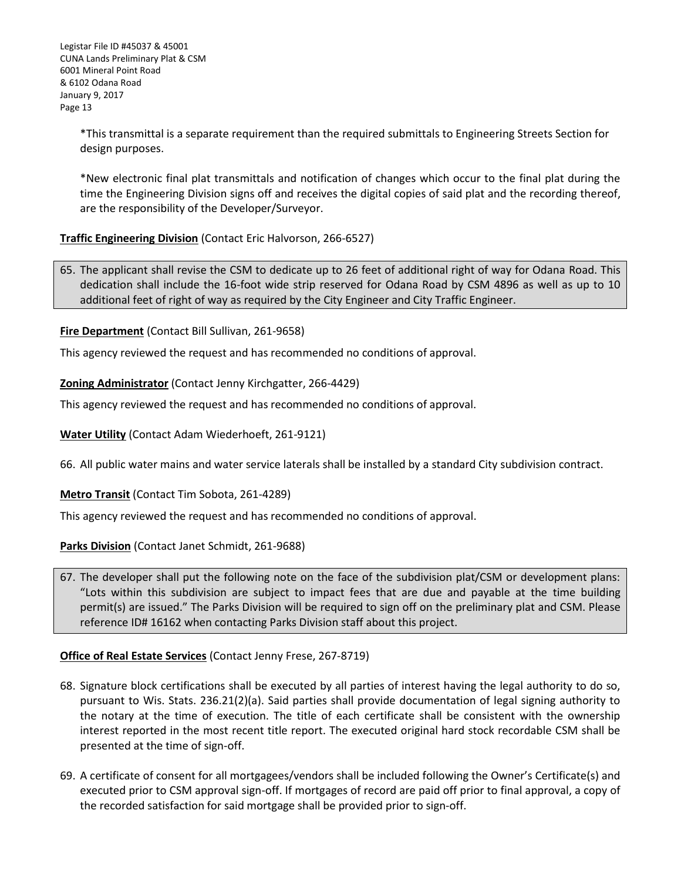\*This transmittal is a separate requirement than the required submittals to Engineering Streets Section for design purposes.

\*New electronic final plat transmittals and notification of changes which occur to the final plat during the time the Engineering Division signs off and receives the digital copies of said plat and the recording thereof, are the responsibility of the Developer/Surveyor.

#### **Traffic Engineering Division** (Contact Eric Halvorson, 266-6527)

65. The applicant shall revise the CSM to dedicate up to 26 feet of additional right of way for Odana Road. This dedication shall include the 16-foot wide strip reserved for Odana Road by CSM 4896 as well as up to 10 additional feet of right of way as required by the City Engineer and City Traffic Engineer.

**Fire Department** (Contact Bill Sullivan, 261-9658)

This agency reviewed the request and has recommended no conditions of approval.

**Zoning Administrator** (Contact Jenny Kirchgatter, 266-4429)

This agency reviewed the request and has recommended no conditions of approval.

**Water Utility** (Contact Adam Wiederhoeft, 261-9121)

66. All public water mains and water service laterals shall be installed by a standard City subdivision contract.

**Metro Transit** (Contact Tim Sobota, 261-4289)

This agency reviewed the request and has recommended no conditions of approval.

**Parks Division** (Contact Janet Schmidt, 261-9688)

67. The developer shall put the following note on the face of the subdivision plat/CSM or development plans: "Lots within this subdivision are subject to impact fees that are due and payable at the time building permit(s) are issued." The Parks Division will be required to sign off on the preliminary plat and CSM. Please reference ID# 16162 when contacting Parks Division staff about this project.

#### **Office of Real Estate Services** (Contact Jenny Frese, 267-8719)

- 68. Signature block certifications shall be executed by all parties of interest having the legal authority to do so, pursuant to Wis. Stats. 236.21(2)(a). Said parties shall provide documentation of legal signing authority to the notary at the time of execution. The title of each certificate shall be consistent with the ownership interest reported in the most recent title report. The executed original hard stock recordable CSM shall be presented at the time of sign-off.
- 69. A certificate of consent for all mortgagees/vendors shall be included following the Owner's Certificate(s) and executed prior to CSM approval sign-off. If mortgages of record are paid off prior to final approval, a copy of the recorded satisfaction for said mortgage shall be provided prior to sign-off.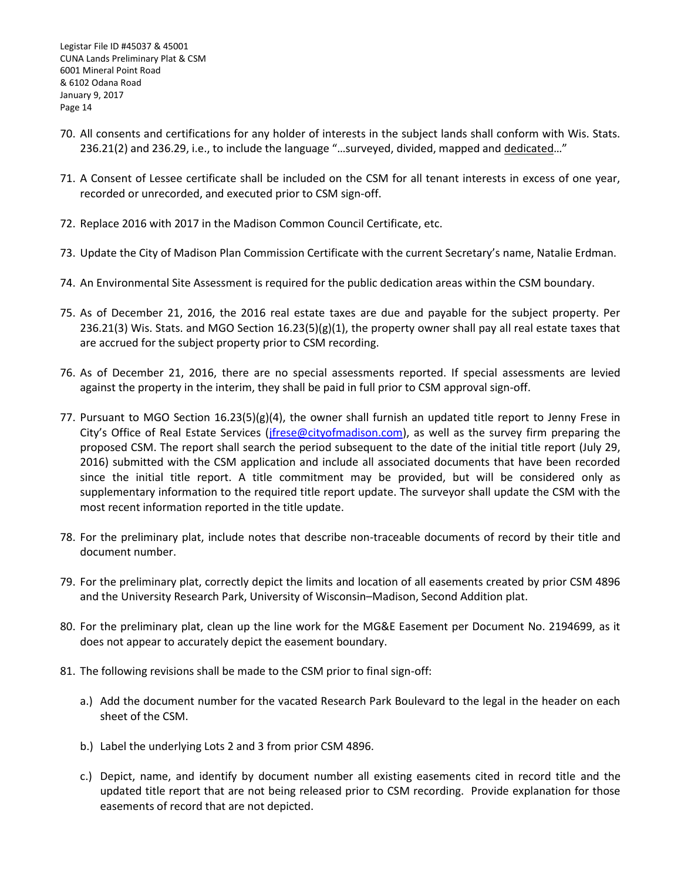- 70. All consents and certifications for any holder of interests in the subject lands shall conform with Wis. Stats. 236.21(2) and 236.29, i.e., to include the language "…surveyed, divided, mapped and dedicated…"
- 71. A Consent of Lessee certificate shall be included on the CSM for all tenant interests in excess of one year, recorded or unrecorded, and executed prior to CSM sign-off.
- 72. Replace 2016 with 2017 in the Madison Common Council Certificate, etc.
- 73. Update the City of Madison Plan Commission Certificate with the current Secretary's name, Natalie Erdman.
- 74. An Environmental Site Assessment is required for the public dedication areas within the CSM boundary.
- 75. As of December 21, 2016, the 2016 real estate taxes are due and payable for the subject property. Per 236.21(3) Wis. Stats. and MGO Section 16.23(5)(g)(1), the property owner shall pay all real estate taxes that are accrued for the subject property prior to CSM recording.
- 76. As of December 21, 2016, there are no special assessments reported. If special assessments are levied against the property in the interim, they shall be paid in full prior to CSM approval sign-off.
- 77. Pursuant to MGO Section 16.23(5)(g)(4), the owner shall furnish an updated title report to Jenny Frese in City's Office of Real Estate Services (*jfrese@cityofmadison.com*), as well as the survey firm preparing the proposed CSM. The report shall search the period subsequent to the date of the initial title report (July 29, 2016) submitted with the CSM application and include all associated documents that have been recorded since the initial title report. A title commitment may be provided, but will be considered only as supplementary information to the required title report update. The surveyor shall update the CSM with the most recent information reported in the title update.
- 78. For the preliminary plat, include notes that describe non-traceable documents of record by their title and document number.
- 79. For the preliminary plat, correctly depict the limits and location of all easements created by prior CSM 4896 and the University Research Park, University of Wisconsin–Madison, Second Addition plat.
- 80. For the preliminary plat, clean up the line work for the MG&E Easement per Document No. 2194699, as it does not appear to accurately depict the easement boundary.
- 81. The following revisions shall be made to the CSM prior to final sign-off:
	- a.) Add the document number for the vacated Research Park Boulevard to the legal in the header on each sheet of the CSM.
	- b.) Label the underlying Lots 2 and 3 from prior CSM 4896.
	- c.) Depict, name, and identify by document number all existing easements cited in record title and the updated title report that are not being released prior to CSM recording. Provide explanation for those easements of record that are not depicted.